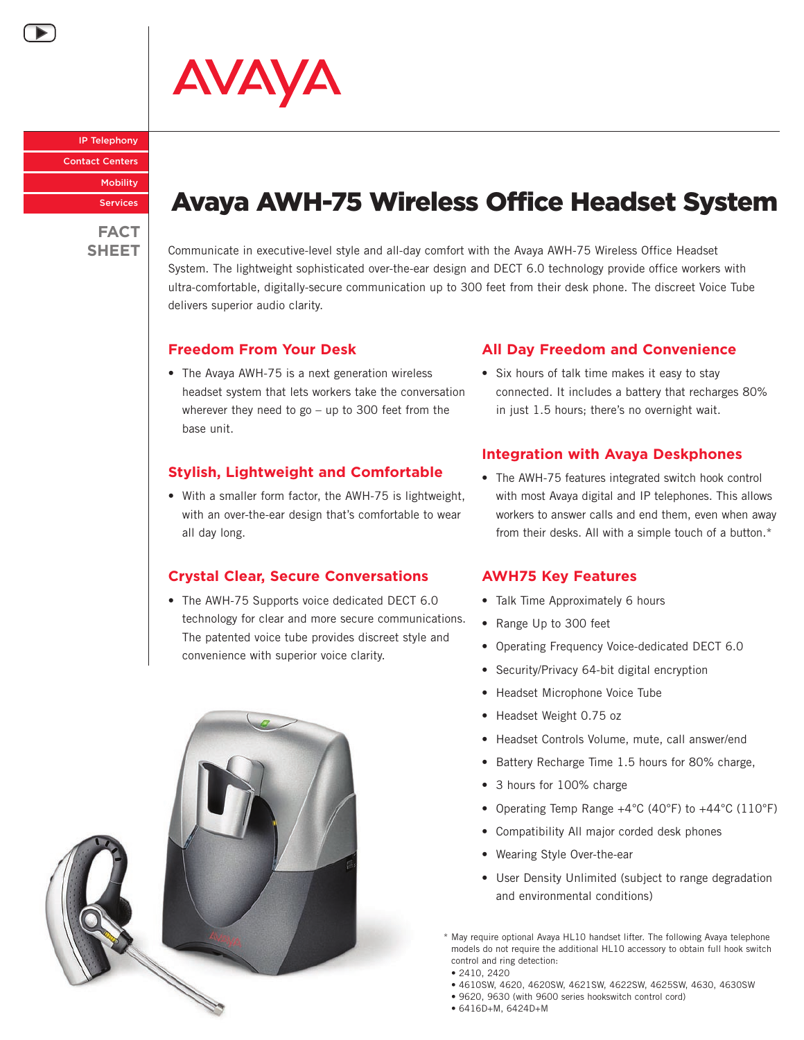AVAYA

IP Telephony Contact Centers **Mobility** Services

**FACT**

# Avaya AWH-75 Wireless Office Headset System

SHEET **Communicate in executive-level style and all-day comfort with the Avaya AWH-75 Wireless Office Headset** System. The lightweight sophisticated over-the-ear design and DECT 6.0 technology provide office workers with ultra‑comfortable, digitally-secure communication up to 300 feet from their desk phone. The discreet Voice Tube delivers superior audio clarity.

# **Freedom From Your Desk**

• The Avaya AWH-75 is a next generation wireless headset system that lets workers take the conversation wherever they need to go – up to 300 feet from the base unit.

#### **Stylish, Lightweight and Comfortable**

• With a smaller form factor, the AWH-75 is lightweight, with an over-the-ear design that's comfortable to wear all day long.

# **Crystal Clear, Secure Conversations**

• The AWH-75 Supports voice dedicated DECT 6.0 technology for clear and more secure communications. The patented voice tube provides discreet style and convenience with superior voice clarity.



# **All Day Freedom and Convenience**

• Six hours of talk time makes it easy to stay connected. It includes a battery that recharges 80% in just 1.5 hours; there's no overnight wait.

#### **Integration with Avaya Deskphones**

• The AWH-75 features integrated switch hook control with most Avaya digital and IP telephones. This allows workers to answer calls and end them, even when away from their desks. All with a simple touch of a button.\*

#### **AWH75 Key Features**

- Talk Time Approximately 6 hours
- Range Up to 300 feet
- Operating Frequency Voice-dedicated DECT 6.0
- Security/Privacy 64-bit digital encryption
- Headset Microphone Voice Tube
- Headset Weight 0.75 oz
- Headset Controls Volume, mute, call answer/end
- Battery Recharge Time 1.5 hours for 80% charge,
- 3 hours for 100% charge
- Operating Temp Range +4°C (40°F) to +44°C (110°F)
- Compatibility All major corded desk phones
- Wearing Style Over-the-ear
- User Density Unlimited (subject to range degradation and environmental conditions)

\* May require optional Avaya HL10 handset lifter. The following Avaya telephone models do not require the additional HL10 accessory to obtain full hook switch control and ring detection:

- 2410, 2420
- 4610sw, 4620, 4620sw, 4621SW, 4622SW, 4625SW, 4630, 4630sw
- 9620, 9630 (with 9600 series hookswitch control cord)
- 6416D+M, 6424D+M